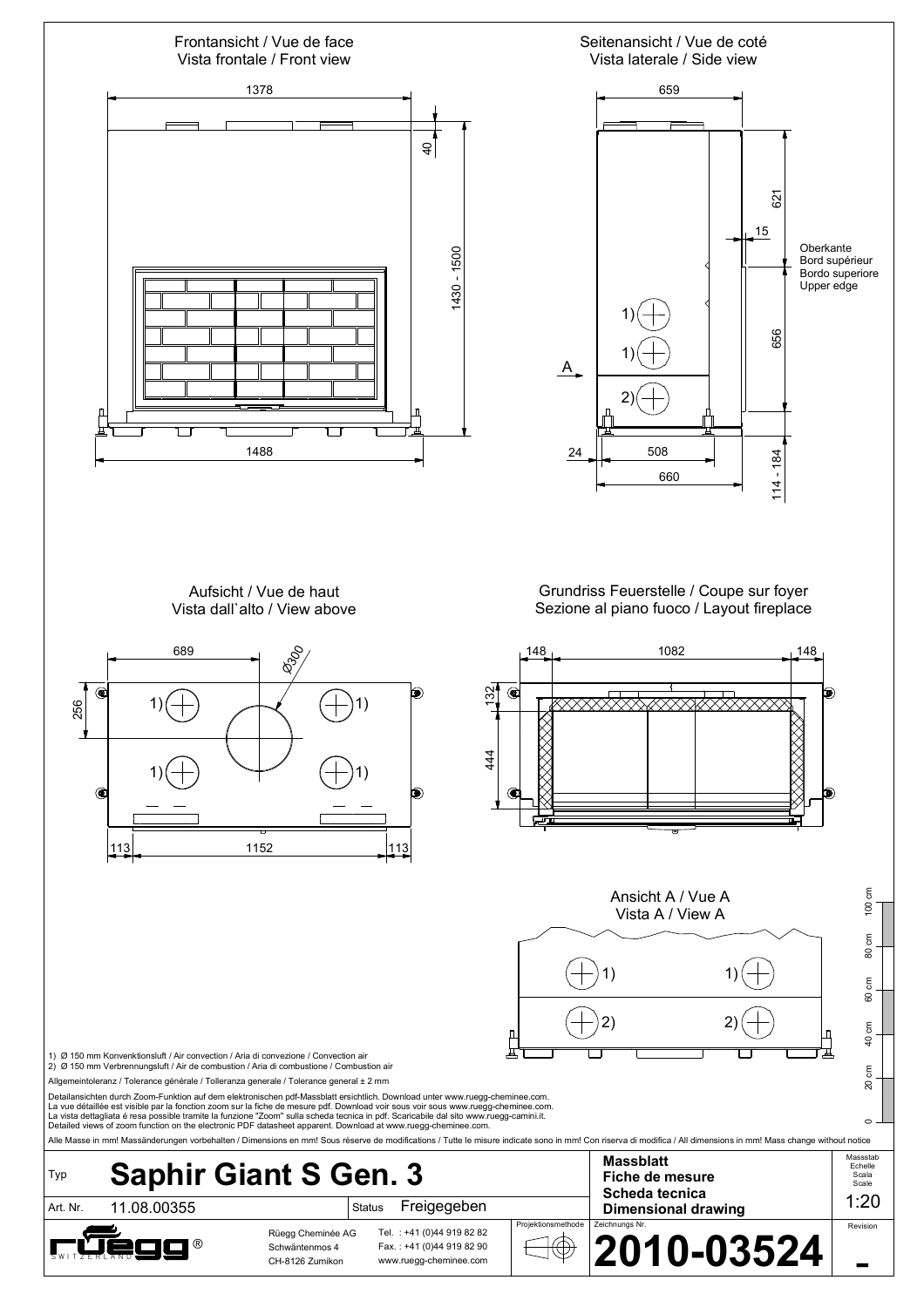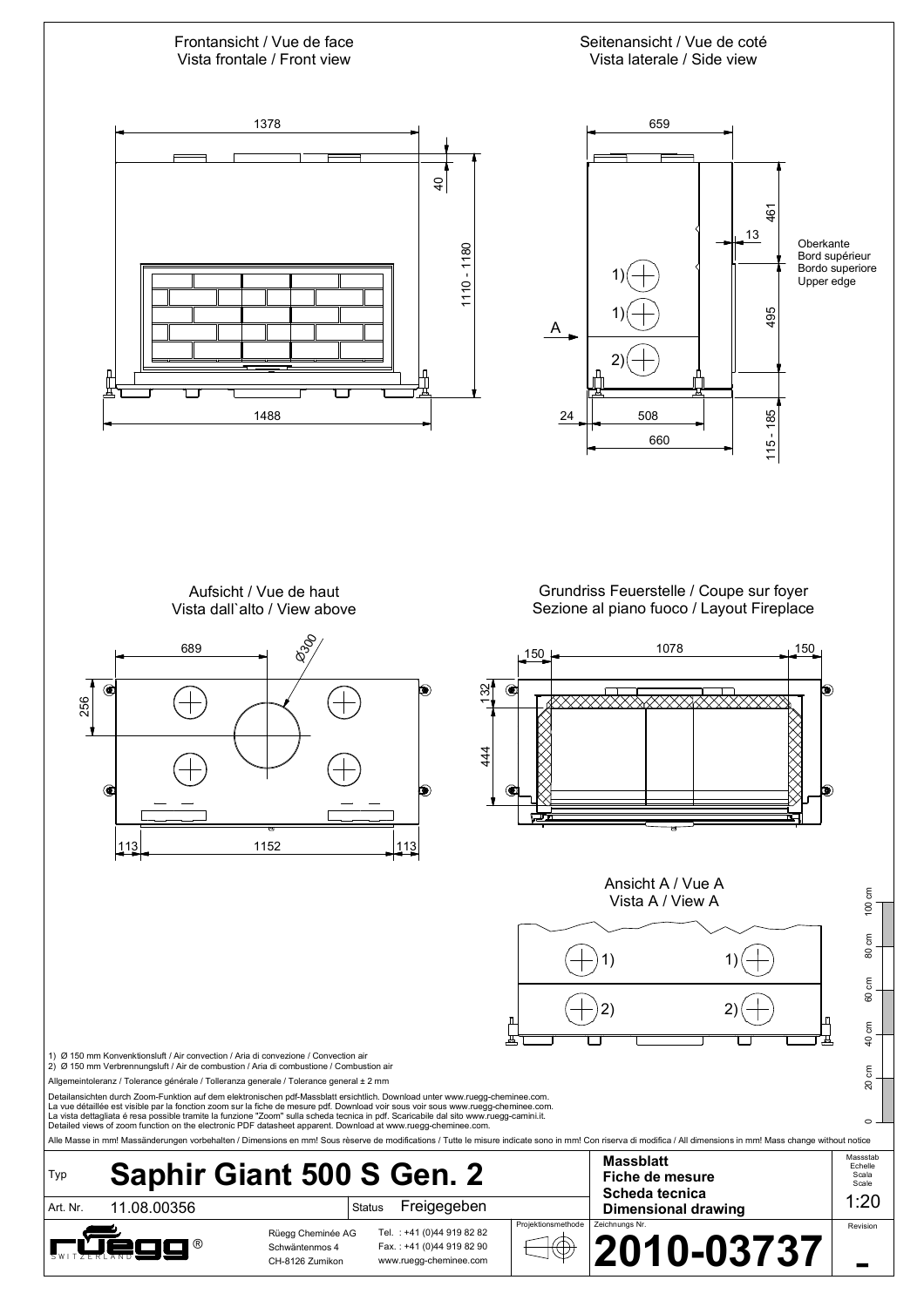